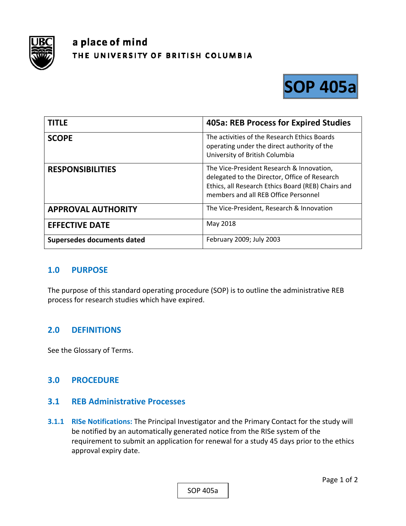

# a place of mind THE UNIVERSITY OF BRITISH COLUMBIA



| <b>TITLE</b>               | 405a: REB Process for Expired Studies                                                                                                                                                    |
|----------------------------|------------------------------------------------------------------------------------------------------------------------------------------------------------------------------------------|
| <b>SCOPE</b>               | The activities of the Research Ethics Boards<br>operating under the direct authority of the<br>University of British Columbia                                                            |
| <b>RESPONSIBILITIES</b>    | The Vice-President Research & Innovation,<br>delegated to the Director, Office of Research<br>Ethics, all Research Ethics Board (REB) Chairs and<br>members and all REB Office Personnel |
| <b>APPROVAL AUTHORITY</b>  | The Vice-President, Research & Innovation                                                                                                                                                |
| <b>EFFECTIVE DATE</b>      | May 2018                                                                                                                                                                                 |
| Supersedes documents dated | February 2009; July 2003                                                                                                                                                                 |

## **1.0 PURPOSE**

The purpose of this standard operating procedure (SOP) is to outline the administrative REB process for research studies which have expired.

## **2.0 DEFINITIONS**

See the Glossary of Terms.

#### **3.0 PROCEDURE**

#### **3.1 REB Administrative Processes**

**3.1.1 RISe Notifications:** The Principal Investigator and the Primary Contact for the study will be notified by an automatically generated notice from the RISe system of the requirement to submit an application for renewal for a study 45 days prior to the ethics approval expiry date.